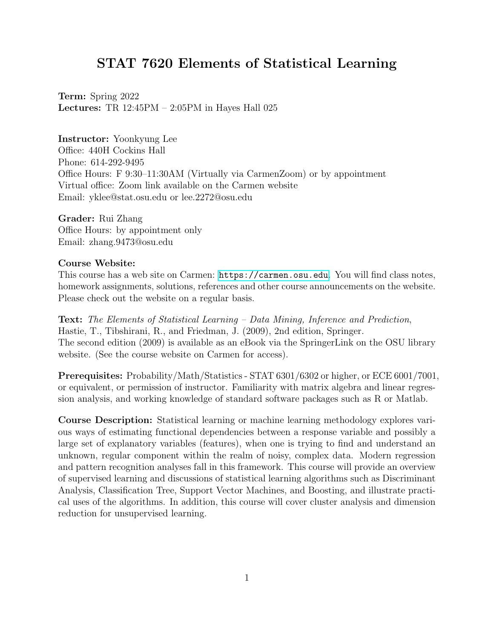# STAT 7620 Elements of Statistical Learning

Term: Spring 2022 Lectures: TR 12:45PM – 2:05PM in Hayes Hall 025

# Instructor: Yoonkyung Lee

Office: 440H Cockins Hall Phone: 614-292-9495 Office Hours: F 9:30–11:30AM (Virtually via CarmenZoom) or by appointment Virtual office: Zoom link available on the Carmen website Email: yklee@stat.osu.edu or lee.2272@osu.edu

#### Grader: Rui Zhang

Office Hours: by appointment only Email: zhang.9473@osu.edu

# Course Website:

This course has a web site on Carmen: <https://carmen.osu.edu>. You will find class notes, homework assignments, solutions, references and other course announcements on the website. Please check out the website on a regular basis.

Text: The Elements of Statistical Learning – Data Mining, Inference and Prediction, Hastie, T., Tibshirani, R., and Friedman, J. (2009), 2nd edition, Springer. The second edition (2009) is available as an eBook via the SpringerLink on the OSU library website. (See the course website on Carmen for access).

Prerequisites: Probability/Math/Statistics - STAT 6301/6302 or higher, or ECE 6001/7001, or equivalent, or permission of instructor. Familiarity with matrix algebra and linear regression analysis, and working knowledge of standard software packages such as R or Matlab.

Course Description: Statistical learning or machine learning methodology explores various ways of estimating functional dependencies between a response variable and possibly a large set of explanatory variables (features), when one is trying to find and understand an unknown, regular component within the realm of noisy, complex data. Modern regression and pattern recognition analyses fall in this framework. This course will provide an overview of supervised learning and discussions of statistical learning algorithms such as Discriminant Analysis, Classification Tree, Support Vector Machines, and Boosting, and illustrate practical uses of the algorithms. In addition, this course will cover cluster analysis and dimension reduction for unsupervised learning.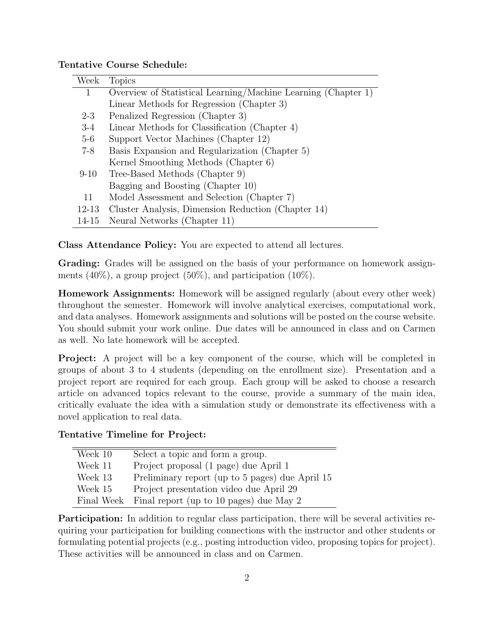# Tentative Course Schedule:

| Week      | <b>Topics</b>                                                 |
|-----------|---------------------------------------------------------------|
| 1.        | Overview of Statistical Learning/Machine Learning (Chapter 1) |
|           | Linear Methods for Regression (Chapter 3)                     |
| $2 - 3$   | Penalized Regression (Chapter 3)                              |
| $3-4$     | Linear Methods for Classification (Chapter 4)                 |
| $5-6$     | Support Vector Machines (Chapter 12)                          |
| $7 - 8$   | Basis Expansion and Regularization (Chapter 5)                |
|           | Kernel Smoothing Methods (Chapter 6)                          |
| $9-10$    | Tree-Based Methods (Chapter 9)                                |
|           | Bagging and Boosting (Chapter 10)                             |
| 11        | Model Assessment and Selection (Chapter 7)                    |
| $12 - 13$ | Cluster Analysis, Dimension Reduction (Chapter 14)            |
| $14 - 15$ | Neural Networks (Chapter 11)                                  |

Class Attendance Policy: You are expected to attend all lectures.

Grading: Grades will be assigned on the basis of your performance on homework assignments  $(40\%)$ , a group project  $(50\%)$ , and participation  $(10\%)$ .

Homework Assignments: Homework will be assigned regularly (about every other week) throughout the semester. Homework will involve analytical exercises, computational work, and data analyses. Homework assignments and solutions will be posted on the course website. You should submit your work online. Due dates will be announced in class and on Carmen as well. No late homework will be accepted.

Project: A project will be a key component of the course, which will be completed in groups of about 3 to 4 students (depending on the enrollment size). Presentation and a project report are required for each group. Each group will be asked to choose a research article on advanced topics relevant to the course, provide a summary of the main idea, critically evaluate the idea with a simulation study or demonstrate its effectiveness with a novel application to real data.

#### Tentative Timeline for Project:

| Week 10    | Select a topic and form a group.                |
|------------|-------------------------------------------------|
| Week 11    | Project proposal (1 page) due April 1           |
| Week 13    | Preliminary report (up to 5 pages) due April 15 |
| Week 15    | Project presentation video due April 29         |
| Final Week | Final report (up to 10 pages) due May 2         |
|            |                                                 |

Participation: In addition to regular class participation, there will be several activities requiring your participation for building connections with the instructor and other students or formulating potential projects (e.g., posting introduction video, proposing topics for project). These activities will be announced in class and on Carmen.